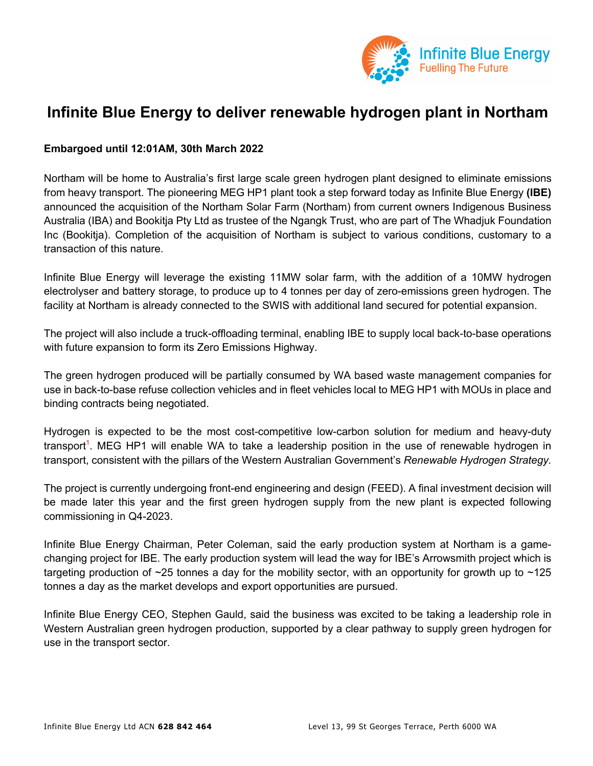

# **Infinite Blue Energy to deliver renewable hydrogen plant in Northam**

## **Embargoed until 12:01AM, 30th March 2022**

Northam will be home to Australia's first large scale green hydrogen plant designed to eliminate emissions from heavy transport. The pioneering MEG HP1 plant took a step forward today as Infinite Blue Energy **(IBE)** announced the acquisition of the Northam Solar Farm (Northam) from current owners Indigenous Business Australia (IBA) and Bookitja Pty Ltd as trustee of the Ngangk Trust, who are part of The Whadjuk Foundation Inc (Bookitja). Completion of the acquisition of Northam is subject to various conditions, customary to a transaction of this nature.

Infinite Blue Energy will leverage the existing 11MW solar farm, with the addition of a 10MW hydrogen electrolyser and battery storage, to produce up to 4 tonnes per day of zero-emissions green hydrogen. The facility at Northam is already connected to the SWIS with additional land secured for potential expansion.

The project will also include a truck-offloading terminal, enabling IBE to supply local back-to-base operations with future expansion to form its Zero Emissions Highway.

The green hydrogen produced will be partially consumed by WA based waste management companies for use in back-to-base refuse collection vehicles and in fleet vehicles local to MEG HP1 with MOUs in place and binding contracts being negotiated.

Hydrogen is expected to be the most cost-competitive low-carbon solution for medium and heavy-duty transport<sup>1</sup>. MEG HP1 will enable WA to take a leadership position in the use of renewable hydrogen in transport, consistent with the pillars of the Western Australian Government's *Renewable Hydrogen Strategy.*

The project is currently undergoing front-end engineering and design (FEED). A final investment decision will be made later this year and the first green hydrogen supply from the new plant is expected following commissioning in Q4-2023.

Infinite Blue Energy Chairman, Peter Coleman, said the early production system at Northam is a gamechanging project for IBE. The early production system will lead the way for IBE's Arrowsmith project which is targeting production of  $\sim$ 25 tonnes a day for the mobility sector, with an opportunity for growth up to  $\sim$ 125 tonnes a day as the market develops and export opportunities are pursued.

Infinite Blue Energy CEO, Stephen Gauld, said the business was excited to be taking a leadership role in Western Australian green hydrogen production, supported by a clear pathway to supply green hydrogen for use in the transport sector.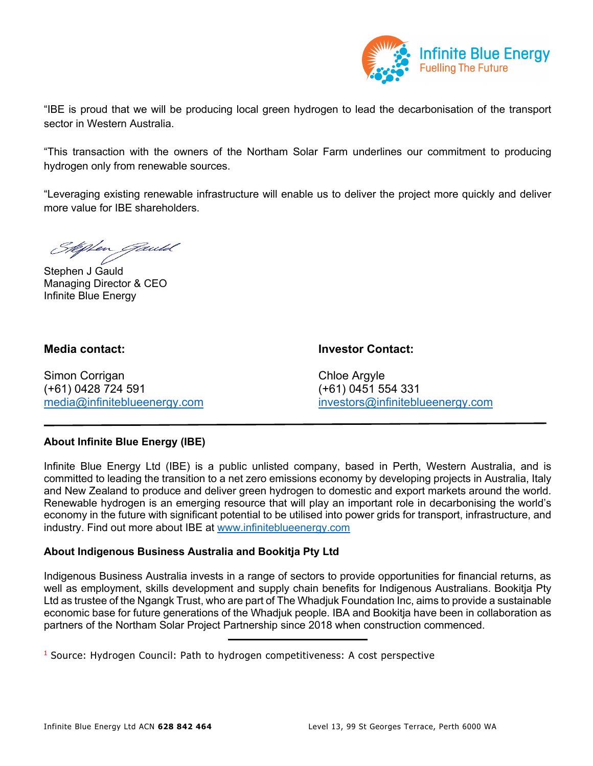

"IBE is proud that we will be producing local green hydrogen to lead the decarbonisation of the transport sector in Western Australia.

"This transaction with the owners of the Northam Solar Farm underlines our commitment to producing hydrogen only from renewable sources.

"Leveraging existing renewable infrastructure will enable us to deliver the project more quickly and deliver more value for IBE shareholders.

Men *Jauld* 

Stephen J Gauld Managing Director & CEO Infinite Blue Energy

**Media contact: Investor Contact:**

Simon Corrigan China China China China China China China China China China China China China China China China China China China China China China China China China China China China China China China China China China Chi (+61) 0428 724 591 (+61) 0451 554 331

media@infiniteblueenergy.com investors@infiniteblueenergy.com

# **About Infinite Blue Energy (IBE)**

Infinite Blue Energy Ltd (IBE) is a public unlisted company, based in Perth, Western Australia, and is committed to leading the transition to a net zero emissions economy by developing projects in Australia, Italy and New Zealand to produce and deliver green hydrogen to domestic and export markets around the world. Renewable hydrogen is an emerging resource that will play an important role in decarbonising the world's economy in the future with significant potential to be utilised into power grids for transport, infrastructure, and industry. Find out more about IBE at www.infiniteblueenergy.com

# **About Indigenous Business Australia and Bookitja Pty Ltd**

Indigenous Business Australia invests in a range of sectors to provide opportunities for financial returns, as well as employment, skills development and supply chain benefits for Indigenous Australians. Bookitja Pty Ltd as trustee of the Ngangk Trust, who are part of The Whadjuk Foundation Inc, aims to provide a sustainable economic base for future generations of the Whadjuk people. IBA and Bookitja have been in collaboration as partners of the Northam Solar Project Partnership since 2018 when construction commenced.

 $<sup>1</sup>$  Source: Hydrogen Council: Path to hydrogen competitiveness: A cost perspective</sup>